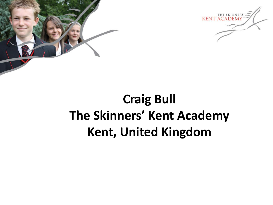



### **Craig Bull The Skinners' Kent Academy Kent, United Kingdom**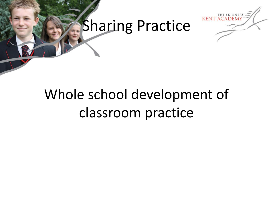

### Sharing Practice

# Whole school development of classroom practice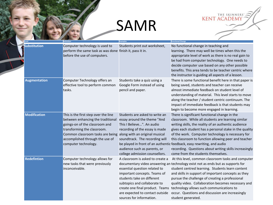# SAMR

**KENT ACADEMY** 

|  | Level               | <b>Definition</b>                                                                                                                                                                                                                         | <b>Examples</b>                                                                                                                                                                                                                                                    | <b>Functional Change</b>                                                                                                                                                                                                                                                                                                                                                                                                                                                                                        |
|--|---------------------|-------------------------------------------------------------------------------------------------------------------------------------------------------------------------------------------------------------------------------------------|--------------------------------------------------------------------------------------------------------------------------------------------------------------------------------------------------------------------------------------------------------------------|-----------------------------------------------------------------------------------------------------------------------------------------------------------------------------------------------------------------------------------------------------------------------------------------------------------------------------------------------------------------------------------------------------------------------------------------------------------------------------------------------------------------|
|  | <b>Substitution</b> | Computer technology is used to<br>perform the same task as was done finish it, pass it in.<br>before the use of computers.                                                                                                                | Students print out worksheet,                                                                                                                                                                                                                                      | No functional change in teaching and<br>learning. There may well be times when this the<br>appropriate level of work as there is no real gain to<br>be had from computer technology. One needs to<br>decide computer use based on any other possible<br>benefits. This area tends to be teacher centric where<br>the instructor is guiding all aspects of a lesson.                                                                                                                                             |
|  | <b>Augmentation</b> | Computer Technology offers an<br>effective tool to perform common<br>tasks.                                                                                                                                                               | Students take a quiz using a<br>Google Form instead of using<br>pencil and paper.                                                                                                                                                                                  | There is some functional benefit here in that paper is<br>being saved, students and teacher can receive<br>almost immediate feedback on student level of<br>understanding of material. This level starts to move<br>along the teacher / student centric continuum. The<br>impact of immediate feedback is that students may<br>begin to become more engaged in learning.                                                                                                                                        |
|  | <b>Modification</b> | This is the first step over the line<br>between enhancing the traditional<br>goings-on of the classroom and<br>transforming the classroom.<br>Common classroom tasks are being<br>accomplished through the use of<br>computer technology. | Students are asked to write an<br>essay around the theme "And<br>This I Believe". An audio<br>recording of the essay is made<br>along with an original musical<br>soundtrack. The recording will<br>audience such as parents, or<br>college admission counsellors. | There is significant functional change in the<br>classroom. While all students are learning similar<br>writing skills, the reality of an authentic audience<br>gives each student has a personal stake in the quality<br>of the work. Computer technology is necessary for<br>this classroom to function allowing peer and teacher<br>be played in front of an authentic feedback, easy rewriting, and audio<br>recording. Questions about writing skills increasingly<br>come from the students themselves.    |
|  | <b>Redefintion</b>  | Computer technology allows for<br>new tasks that were previously<br>inconceivable.                                                                                                                                                        | A classroom is asked to create a<br>essential question related to<br>important concepts. Teams of<br>students take on different<br>subtopics and collaborate to<br>are expected to contact outside<br>sources for information.                                     | At this level, common classroom tasks and computer<br>documentary video answering an technology exist not as ends but as supports for<br>student centred learning. Students learn content<br>and skills in support of important concepts as they<br>pursue the challenge of creating a professional<br>quality video. Collaboration becomes necessary and<br>create one final product. Teams technology allows such communications to<br>occur. Questions and discussion are increasingly<br>student generated. |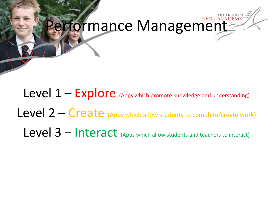# erformance Management

Level  $1$  – Explore (Apps which promote knowledge and understanding)

Level 2 – Create (Apps which allow students to complete/create work)

Level 3 – Interact (Apps which allow students and teachers to interact)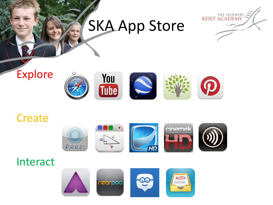## SKA App Store



### Explore



#### **Create**



#### Interact

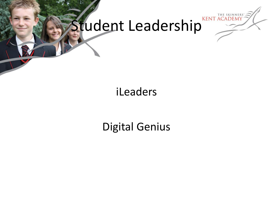

# Student Leadership

### iLeaders

### Digital Genius